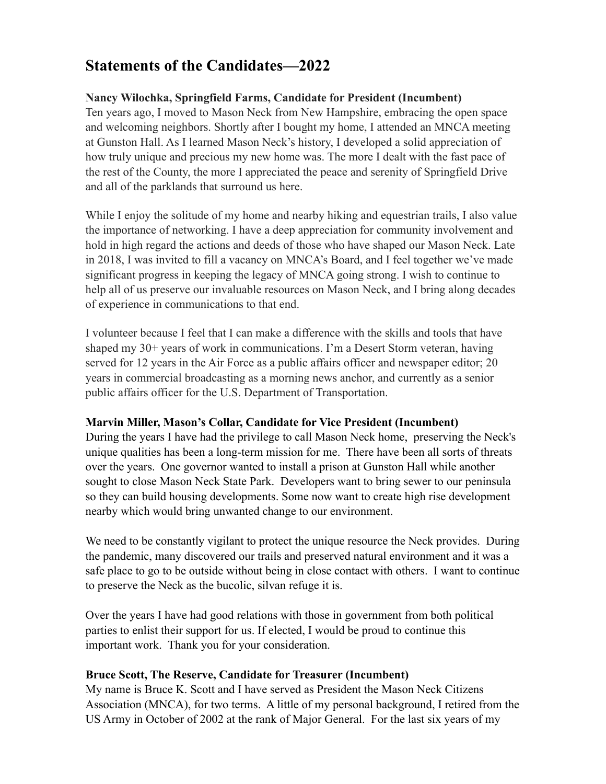# **Statements of the Candidates—2022**

# **Nancy Wilochka, Springfield Farms, Candidate for President (Incumbent)**

Ten years ago, I moved to Mason Neck from New Hampshire, embracing the open space and welcoming neighbors. Shortly after I bought my home, I attended an MNCA meeting at Gunston Hall. As I learned Mason Neck's history, I developed a solid appreciation of how truly unique and precious my new home was. The more I dealt with the fast pace of the rest of the County, the more I appreciated the peace and serenity of Springfield Drive and all of the parklands that surround us here.

While I enjoy the solitude of my home and nearby hiking and equestrian trails, I also value the importance of networking. I have a deep appreciation for community involvement and hold in high regard the actions and deeds of those who have shaped our Mason Neck. Late in 2018, I was invited to fill a vacancy on MNCA's Board, and I feel together we've made significant progress in keeping the legacy of MNCA going strong. I wish to continue to help all of us preserve our invaluable resources on Mason Neck, and I bring along decades of experience in communications to that end.

I volunteer because I feel that I can make a difference with the skills and tools that have shaped my 30+ years of work in communications. I'm a Desert Storm veteran, having served for 12 years in the Air Force as a public affairs officer and newspaper editor; 20 years in commercial broadcasting as a morning news anchor, and currently as a senior public affairs officer for the U.S. Department of Transportation.

## **Marvin Miller, Mason's Collar, Candidate for Vice President (Incumbent)**

During the years I have had the privilege to call Mason Neck home, preserving the Neck's unique qualities has been a long-term mission for me. There have been all sorts of threats over the years. One governor wanted to install a prison at Gunston Hall while another sought to close Mason Neck State Park. Developers want to bring sewer to our peninsula so they can build housing developments. Some now want to create high rise development nearby which would bring unwanted change to our environment.

We need to be constantly vigilant to protect the unique resource the Neck provides. During the pandemic, many discovered our trails and preserved natural environment and it was a safe place to go to be outside without being in close contact with others. I want to continue to preserve the Neck as the bucolic, silvan refuge it is.

Over the years I have had good relations with those in government from both political parties to enlist their support for us. If elected, I would be proud to continue this important work. Thank you for your consideration.

## **Bruce Scott, The Reserve, Candidate for Treasurer (Incumbent)**

My name is Bruce K. Scott and I have served as President the Mason Neck Citizens Association (MNCA), for two terms. A little of my personal background, I retired from the US Army in October of 2002 at the rank of Major General. For the last six years of my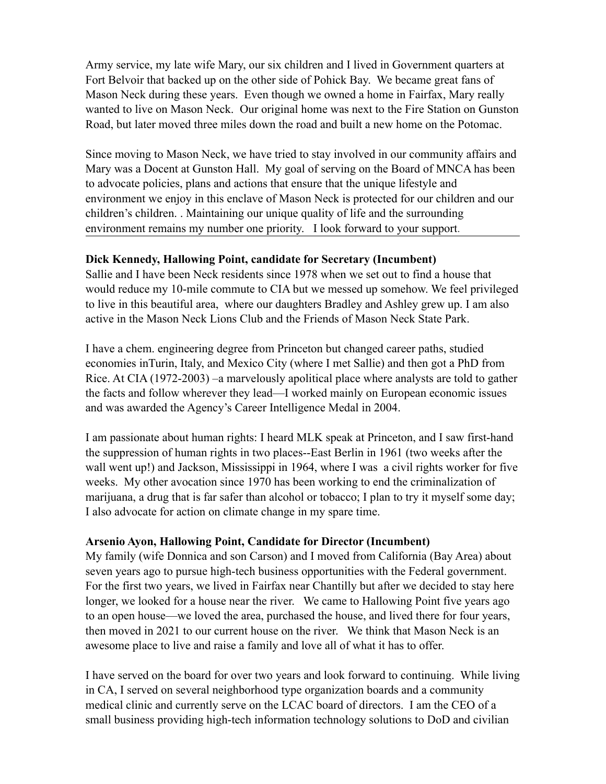Army service, my late wife Mary, our six children and I lived in Government quarters at Fort Belvoir that backed up on the other side of Pohick Bay. We became great fans of Mason Neck during these years. Even though we owned a home in Fairfax, Mary really wanted to live on Mason Neck. Our original home was next to the Fire Station on Gunston Road, but later moved three miles down the road and built a new home on the Potomac.

Since moving to Mason Neck, we have tried to stay involved in our community affairs and Mary was a Docent at Gunston Hall. My goal of serving on the Board of MNCA has been to advocate policies, plans and actions that ensure that the unique lifestyle and environment we enjoy in this enclave of Mason Neck is protected for our children and our children's children. . Maintaining our unique quality of life and the surrounding environment remains my number one priority. I look forward to your support.

## **Dick Kennedy, Hallowing Point, candidate for Secretary (Incumbent)**

Sallie and I have been Neck residents since 1978 when we set out to find a house that would reduce my 10-mile commute to CIA but we messed up somehow. We feel privileged to live in this beautiful area, where our daughters Bradley and Ashley grew up. I am also active in the Mason Neck Lions Club and the Friends of Mason Neck State Park.

I have a chem. engineering degree from Princeton but changed career paths, studied economies inTurin, Italy, and Mexico City (where I met Sallie) and then got a PhD from Rice. At CIA (1972-2003) –a marvelously apolitical place where analysts are told to gather the facts and follow wherever they lead—I worked mainly on European economic issues and was awarded the Agency's Career Intelligence Medal in 2004.

I am passionate about human rights: I heard MLK speak at Princeton, and I saw first-hand the suppression of human rights in two places--East Berlin in 1961 (two weeks after the wall went up!) and Jackson, Mississippi in 1964, where I was a civil rights worker for five weeks. My other avocation since 1970 has been working to end the criminalization of marijuana, a drug that is far safer than alcohol or tobacco; I plan to try it myself some day; I also advocate for action on climate change in my spare time.

## **Arsenio Ayon, Hallowing Point, Candidate for Director (Incumbent)**

My family (wife Donnica and son Carson) and I moved from California (Bay Area) about seven years ago to pursue high-tech business opportunities with the Federal government. For the first two years, we lived in Fairfax near Chantilly but after we decided to stay here longer, we looked for a house near the river. We came to Hallowing Point five years ago to an open house—we loved the area, purchased the house, and lived there for four years, then moved in 2021 to our current house on the river. We think that Mason Neck is an awesome place to live and raise a family and love all of what it has to offer.

I have served on the board for over two years and look forward to continuing. While living in CA, I served on several neighborhood type organization boards and a community medical clinic and currently serve on the LCAC board of directors. I am the CEO of a small business providing high-tech information technology solutions to DoD and civilian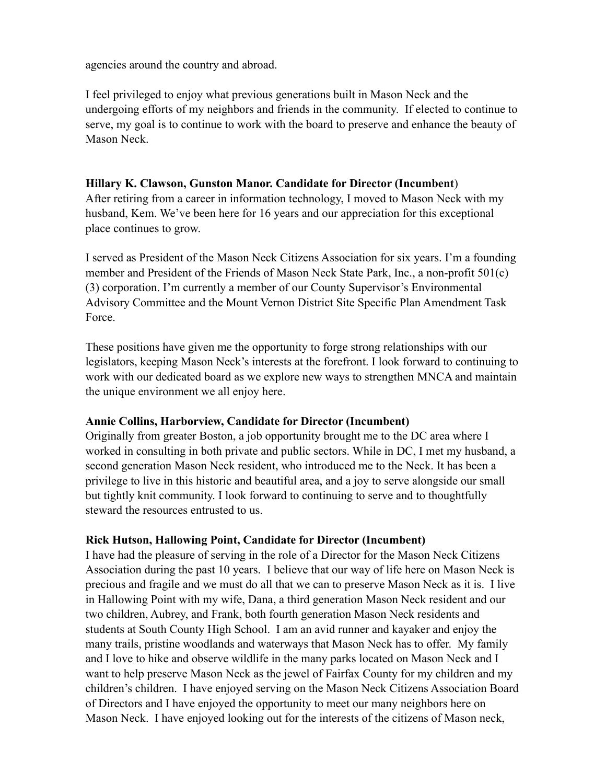agencies around the country and abroad.

I feel privileged to enjoy what previous generations built in Mason Neck and the undergoing efforts of my neighbors and friends in the community. If elected to continue to serve, my goal is to continue to work with the board to preserve and enhance the beauty of Mason Neck.

### **Hillary K. Clawson, Gunston Manor. Candidate for Director (Incumbent**)

After retiring from a career in information technology, I moved to Mason Neck with my husband, Kem. We've been here for 16 years and our appreciation for this exceptional place continues to grow.

I served as President of the Mason Neck Citizens Association for six years. I'm a founding member and President of the Friends of Mason Neck State Park, Inc., a non-profit 501(c) (3) corporation. I'm currently a member of our County Supervisor's Environmental Advisory Committee and the Mount Vernon District Site Specific Plan Amendment Task Force.

These positions have given me the opportunity to forge strong relationships with our legislators, keeping Mason Neck's interests at the forefront. I look forward to continuing to work with our dedicated board as we explore new ways to strengthen MNCA and maintain the unique environment we all enjoy here.

#### **Annie Collins, Harborview, Candidate for Director (Incumbent)**

Originally from greater Boston, a job opportunity brought me to the DC area where I worked in consulting in both private and public sectors. While in DC, I met my husband, a second generation Mason Neck resident, who introduced me to the Neck. It has been a privilege to live in this historic and beautiful area, and a joy to serve alongside our small but tightly knit community. I look forward to continuing to serve and to thoughtfully steward the resources entrusted to us.

## **Rick Hutson, Hallowing Point, Candidate for Director (Incumbent)**

I have had the pleasure of serving in the role of a Director for the Mason Neck Citizens Association during the past 10 years. I believe that our way of life here on Mason Neck is precious and fragile and we must do all that we can to preserve Mason Neck as it is. I live in Hallowing Point with my wife, Dana, a third generation Mason Neck resident and our two children, Aubrey, and Frank, both fourth generation Mason Neck residents and students at South County High School. I am an avid runner and kayaker and enjoy the many trails, pristine woodlands and waterways that Mason Neck has to offer. My family and I love to hike and observe wildlife in the many parks located on Mason Neck and I want to help preserve Mason Neck as the jewel of Fairfax County for my children and my children's children. I have enjoyed serving on the Mason Neck Citizens Association Board of Directors and I have enjoyed the opportunity to meet our many neighbors here on Mason Neck. I have enjoyed looking out for the interests of the citizens of Mason neck,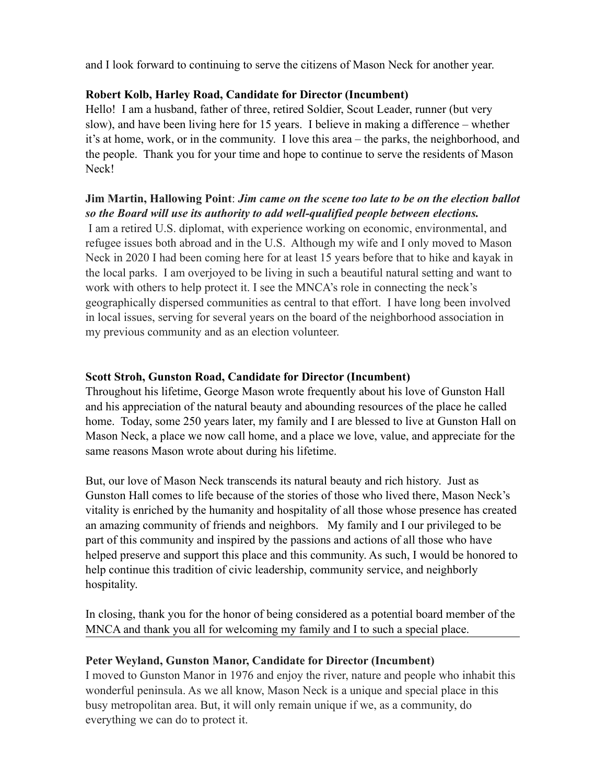and I look forward to continuing to serve the citizens of Mason Neck for another year.

## **Robert Kolb, Harley Road, Candidate for Director (Incumbent)**

Hello! I am a husband, father of three, retired Soldier, Scout Leader, runner (but very slow), and have been living here for 15 years. I believe in making a difference – whether it's at home, work, or in the community. I love this area – the parks, the neighborhood, and the people. Thank you for your time and hope to continue to serve the residents of Mason Neck!

# **Jim Martin, Hallowing Point**: *Jim came on the scene too late to be on the election ballot so the Board will use its authority to add well-qualified people between elections.*

 I am a retired U.S. diplomat, with experience working on economic, environmental, and refugee issues both abroad and in the U.S. Although my wife and I only moved to Mason Neck in 2020 I had been coming here for at least 15 years before that to hike and kayak in the local parks. I am overjoyed to be living in such a beautiful natural setting and want to work with others to help protect it. I see the MNCA's role in connecting the neck's geographically dispersed communities as central to that effort. I have long been involved in local issues, serving for several years on the board of the neighborhood association in my previous community and as an election volunteer.

## **Scott Stroh, Gunston Road, Candidate for Director (Incumbent)**

Throughout his lifetime, George Mason wrote frequently about his love of Gunston Hall and his appreciation of the natural beauty and abounding resources of the place he called home. Today, some 250 years later, my family and I are blessed to live at Gunston Hall on Mason Neck, a place we now call home, and a place we love, value, and appreciate for the same reasons Mason wrote about during his lifetime.

But, our love of Mason Neck transcends its natural beauty and rich history. Just as Gunston Hall comes to life because of the stories of those who lived there, Mason Neck's vitality is enriched by the humanity and hospitality of all those whose presence has created an amazing community of friends and neighbors. My family and I our privileged to be part of this community and inspired by the passions and actions of all those who have helped preserve and support this place and this community. As such, I would be honored to help continue this tradition of civic leadership, community service, and neighborly hospitality.

In closing, thank you for the honor of being considered as a potential board member of the MNCA and thank you all for welcoming my family and I to such a special place.

# **Peter Weyland, Gunston Manor, Candidate for Director (Incumbent)**

I moved to Gunston Manor in 1976 and enjoy the river, nature and people who inhabit this wonderful peninsula. As we all know, Mason Neck is a unique and special place in this busy metropolitan area. But, it will only remain unique if we, as a community, do everything we can do to protect it.